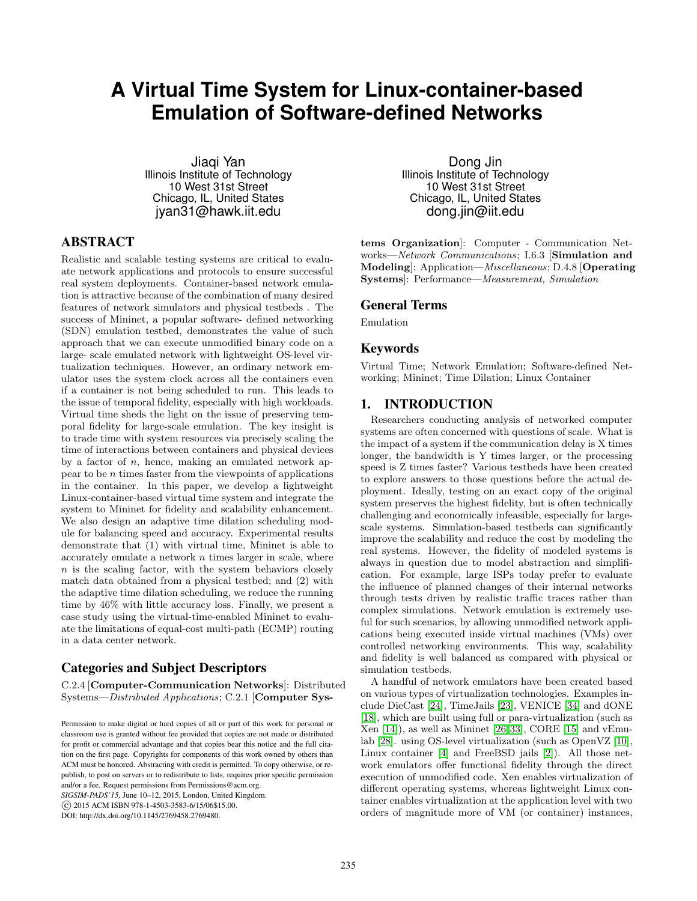# **A Virtual Time System for Linux-container-based Emulation of Software-defined Networks**

Jiaqi Yan Illinois Institute of Technology 10 West 31st Street Chicago, IL, United States jyan31@hawk.iit.edu

# ABSTRACT

Realistic and scalable testing systems are critical to evaluate network applications and protocols to ensure successful real system deployments. Container-based network emulation is attractive because of the combination of many desired features of network simulators and physical testbeds . The success of Mininet, a popular software- defined networking (SDN) emulation testbed, demonstrates the value of such approach that we can execute unmodified binary code on a large- scale emulated network with lightweight OS-level virtualization techniques. However, an ordinary network emulator uses the system clock across all the containers even if a container is not being scheduled to run. This leads to the issue of temporal fidelity, especially with high workloads. Virtual time sheds the light on the issue of preserving temporal fidelity for large-scale emulation. The key insight is to trade time with system resources via precisely scaling the time of interactions between containers and physical devices by a factor of  $n$ , hence, making an emulated network appear to be  $n$  times faster from the viewpoints of applications in the container. In this paper, we develop a lightweight Linux-container-based virtual time system and integrate the system to Mininet for fidelity and scalability enhancement. We also design an adaptive time dilation scheduling module for balancing speed and accuracy. Experimental results demonstrate that (1) with virtual time, Mininet is able to accurately emulate a network  $n$  times larger in scale, where  $n$  is the scaling factor, with the system behaviors closely match data obtained from a physical testbed; and (2) with the adaptive time dilation scheduling, we reduce the running time by 46% with little accuracy loss. Finally, we present a case study using the virtual-time-enabled Mininet to evaluate the limitations of equal-cost multi-path (ECMP) routing in a data center network.

# Categories and Subject Descriptors

C.2.4 [Computer-Communication Networks]: Distributed Systems—Distributed Applications; C.2.1 [Computer Sys-

*SIGSIM-PADS'15,* June 10–12, 2015, London, United Kingdom.

c 2015 ACM ISBN 978-1-4503-3583-6/15/06\$15.00.

DOI: http://dx.doi.org/10.1145/2769458.2769480.

Dong Jin Illinois Institute of Technology 10 West 31st Street Chicago, IL, United States dong.jin@iit.edu

tems Organization]: Computer - Communication Networks—Network Communications; I.6.3 [Simulation and Modeling]: Application—Miscellaneous; D.4.8 [Operating Systems]: Performance—Measurement, Simulation

#### General Terms

Emulation

#### Keywords

Virtual Time; Network Emulation; Software-defined Networking; Mininet; Time Dilation; Linux Container

### 1. INTRODUCTION

Researchers conducting analysis of networked computer systems are often concerned with questions of scale. What is the impact of a system if the communication delay is X times longer, the bandwidth is Y times larger, or the processing speed is Z times faster? Various testbeds have been created to explore answers to those questions before the actual deployment. Ideally, testing on an exact copy of the original system preserves the highest fidelity, but is often technically challenging and economically infeasible, especially for largescale systems. Simulation-based testbeds can significantly improve the scalability and reduce the cost by modeling the real systems. However, the fidelity of modeled systems is always in question due to model abstraction and simplification. For example, large ISPs today prefer to evaluate the influence of planned changes of their internal networks through tests driven by realistic traffic traces rather than complex simulations. Network emulation is extremely useful for such scenarios, by allowing unmodified network applications being executed inside virtual machines (VMs) over controlled networking environments. This way, scalability and fidelity is well balanced as compared with physical or simulation testbeds.

A handful of network emulators have been created based on various types of virtualization technologies. Examples include DieCast [\[24\]](#page-10-0), TimeJails [\[23\]](#page-10-1), VENICE [\[34\]](#page-11-0) and dONE [\[18\]](#page-10-2), which are built using full or para-virtualization (such as Xen [\[14\]](#page-10-3)), as well as Mininet [\[26,](#page-10-4)[33\]](#page-11-1), CORE [\[15\]](#page-10-5) and vEmulab [\[28\]](#page-11-2). using OS-level virtualization (such as OpenVZ [\[10\]](#page-10-6), Linux container [\[4\]](#page-10-7) and FreeBSD jails [\[2\]](#page-10-8)). All those network emulators offer functional fidelity through the direct execution of unmodified code. Xen enables virtualization of different operating systems, whereas lightweight Linux container enables virtualization at the application level with two orders of magnitude more of VM (or container) instances,

Permission to make digital or hard copies of all or part of this work for personal or classroom use is granted without fee provided that copies are not made or distributed for profit or commercial advantage and that copies bear this notice and the full citation on the first page. Copyrights for components of this work owned by others than ACM must be honored. Abstracting with credit is permitted. To copy otherwise, or republish, to post on servers or to redistribute to lists, requires prior specific permission and/or a fee. Request permissions from Permissions@acm.org.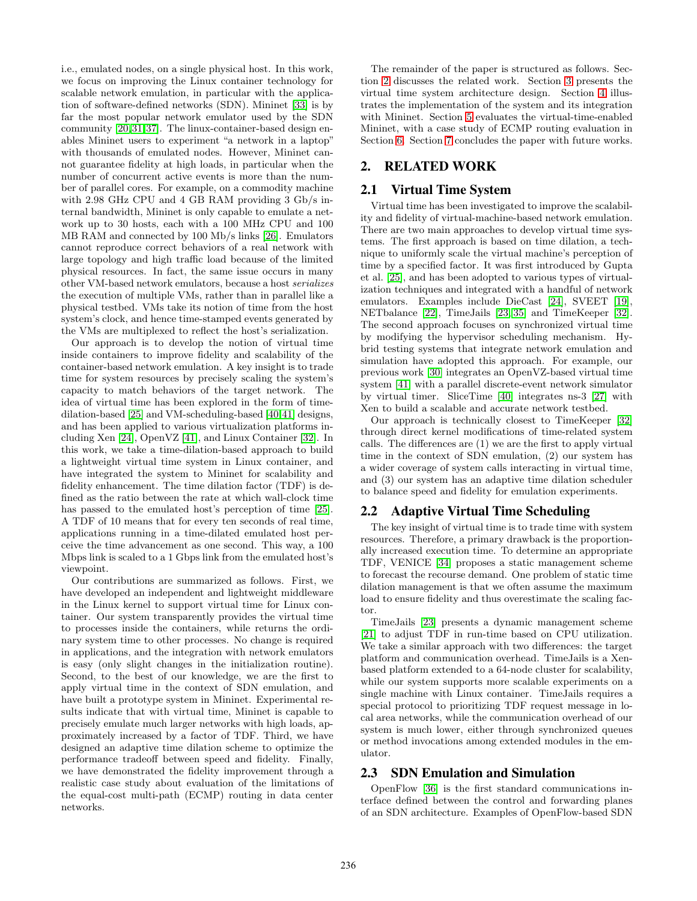i.e., emulated nodes, on a single physical host. In this work, we focus on improving the Linux container technology for scalable network emulation, in particular with the application of software-defined networks (SDN). Mininet [\[33\]](#page-11-1) is by far the most popular network emulator used by the SDN community [\[20,](#page-10-9)[31,](#page-11-3)[37\]](#page-11-4). The linux-container-based design enables Mininet users to experiment "a network in a laptop" with thousands of emulated nodes. However, Mininet cannot guarantee fidelity at high loads, in particular when the number of concurrent active events is more than the number of parallel cores. For example, on a commodity machine with 2.98 GHz CPU and 4 GB RAM providing 3 Gb/s internal bandwidth, Mininet is only capable to emulate a network up to 30 hosts, each with a 100 MHz CPU and 100 MB RAM and connected by 100 Mb/s links [\[26\]](#page-10-4). Emulators cannot reproduce correct behaviors of a real network with large topology and high traffic load because of the limited physical resources. In fact, the same issue occurs in many other VM-based network emulators, because a host serializes the execution of multiple VMs, rather than in parallel like a physical testbed. VMs take its notion of time from the host system's clock, and hence time-stamped events generated by the VMs are multiplexed to reflect the host's serialization.

Our approach is to develop the notion of virtual time inside containers to improve fidelity and scalability of the container-based network emulation. A key insight is to trade time for system resources by precisely scaling the system's capacity to match behaviors of the target network. The idea of virtual time has been explored in the form of timedilation-based [\[25\]](#page-10-10) and VM-scheduling-based [\[40,](#page-11-5)[41\]](#page-11-6) designs, and has been applied to various virtualization platforms including Xen [\[24\]](#page-10-0), OpenVZ [\[41\]](#page-11-6), and Linux Container [\[32\]](#page-11-7). In this work, we take a time-dilation-based approach to build a lightweight virtual time system in Linux container, and have integrated the system to Mininet for scalability and fidelity enhancement. The time dilation factor (TDF) is defined as the ratio between the rate at which wall-clock time has passed to the emulated host's perception of time [\[25\]](#page-10-10). A TDF of 10 means that for every ten seconds of real time, applications running in a time-dilated emulated host perceive the time advancement as one second. This way, a 100 Mbps link is scaled to a 1 Gbps link from the emulated host's viewpoint.

Our contributions are summarized as follows. First, we have developed an independent and lightweight middleware in the Linux kernel to support virtual time for Linux container. Our system transparently provides the virtual time to processes inside the containers, while returns the ordinary system time to other processes. No change is required in applications, and the integration with network emulators is easy (only slight changes in the initialization routine). Second, to the best of our knowledge, we are the first to apply virtual time in the context of SDN emulation, and have built a prototype system in Mininet. Experimental results indicate that with virtual time, Mininet is capable to precisely emulate much larger networks with high loads, approximately increased by a factor of TDF. Third, we have designed an adaptive time dilation scheme to optimize the performance tradeoff between speed and fidelity. Finally, we have demonstrated the fidelity improvement through a realistic case study about evaluation of the limitations of the equal-cost multi-path (ECMP) routing in data center networks.

The remainder of the paper is structured as follows. Section [2](#page-1-0) discusses the related work. Section [3](#page-2-0) presents the virtual time system architecture design. Section [4](#page-2-1) illustrates the implementation of the system and its integration with Mininet. Section [5](#page-5-0) evaluates the virtual-time-enabled Mininet, with a case study of ECMP routing evaluation in Section [6.](#page-8-0) Section [7](#page-8-1) concludes the paper with future works.

# <span id="page-1-0"></span>2. RELATED WORK

# 2.1 Virtual Time System

Virtual time has been investigated to improve the scalability and fidelity of virtual-machine-based network emulation. There are two main approaches to develop virtual time systems. The first approach is based on time dilation, a technique to uniformly scale the virtual machine's perception of time by a specified factor. It was first introduced by Gupta et al. [\[25\]](#page-10-10), and has been adopted to various types of virtualization techniques and integrated with a handful of network emulators. Examples include DieCast [\[24\]](#page-10-0), SVEET [\[19\]](#page-10-11), NETbalance [\[22\]](#page-10-12), TimeJails [\[23,](#page-10-1) [35\]](#page-11-8) and TimeKeeper [\[32\]](#page-11-7). The second approach focuses on synchronized virtual time by modifying the hypervisor scheduling mechanism. Hybrid testing systems that integrate network emulation and simulation have adopted this approach. For example, our previous work [\[30\]](#page-11-9) integrates an OpenVZ-based virtual time system [\[41\]](#page-11-6) with a parallel discrete-event network simulator by virtual timer. SliceTime [\[40\]](#page-11-5) integrates ns-3 [\[27\]](#page-10-13) with Xen to build a scalable and accurate network testbed.

Our approach is technically closest to TimeKeeper [\[32\]](#page-11-7) through direct kernel modifications of time-related system calls. The differences are (1) we are the first to apply virtual time in the context of SDN emulation, (2) our system has a wider coverage of system calls interacting in virtual time, and (3) our system has an adaptive time dilation scheduler to balance speed and fidelity for emulation experiments.

# 2.2 Adaptive Virtual Time Scheduling

The key insight of virtual time is to trade time with system resources. Therefore, a primary drawback is the proportionally increased execution time. To determine an appropriate TDF, VENICE [\[34\]](#page-11-0) proposes a static management scheme to forecast the recourse demand. One problem of static time dilation management is that we often assume the maximum load to ensure fidelity and thus overestimate the scaling factor.

TimeJails [\[23\]](#page-10-1) presents a dynamic management scheme [\[21\]](#page-10-14) to adjust TDF in run-time based on CPU utilization. We take a similar approach with two differences: the target platform and communication overhead. TimeJails is a Xenbased platform extended to a 64-node cluster for scalability, while our system supports more scalable experiments on a single machine with Linux container. TimeJails requires a special protocol to prioritizing TDF request message in local area networks, while the communication overhead of our system is much lower, either through synchronized queues or method invocations among extended modules in the emulator.

# 2.3 SDN Emulation and Simulation

OpenFlow [\[36\]](#page-11-10) is the first standard communications interface defined between the control and forwarding planes of an SDN architecture. Examples of OpenFlow-based SDN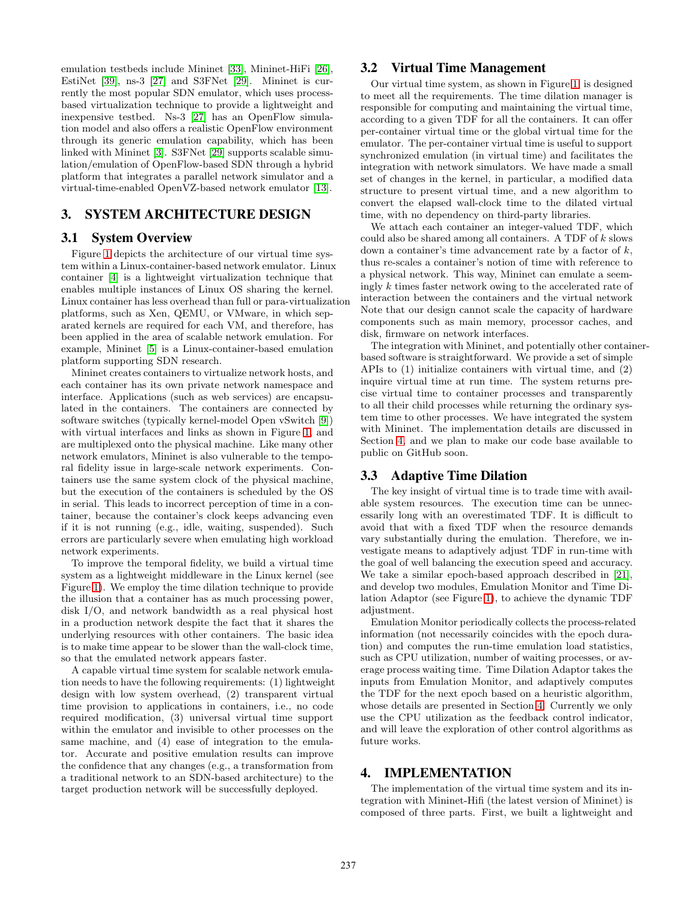emulation testbeds include Mininet [\[33\]](#page-11-1), Mininet-HiFi [\[26\]](#page-10-4), EstiNet [\[39\]](#page-11-11), ns-3 [\[27\]](#page-10-13) and S3FNet [\[29\]](#page-11-12). Mininet is currently the most popular SDN emulator, which uses processbased virtualization technique to provide a lightweight and inexpensive testbed. Ns-3 [\[27\]](#page-10-13) has an OpenFlow simulation model and also offers a realistic OpenFlow environment through its generic emulation capability, which has been linked with Mininet [\[3\]](#page-10-15). S3FNet [\[29\]](#page-11-12) supports scalable simulation/emulation of OpenFlow-based SDN through a hybrid platform that integrates a parallel network simulator and a virtual-time-enabled OpenVZ-based network emulator [\[13\]](#page-10-16).

# <span id="page-2-0"></span>3. SYSTEM ARCHITECTURE DESIGN

### 3.1 System Overview

Figure [1](#page-3-0) depicts the architecture of our virtual time system within a Linux-container-based network emulator. Linux container [\[4\]](#page-10-7) is a lightweight virtualization technique that enables multiple instances of Linux OS sharing the kernel. Linux container has less overhead than full or para-virtualization platforms, such as Xen, QEMU, or VMware, in which separated kernels are required for each VM, and therefore, has been applied in the area of scalable network emulation. For example, Mininet [\[5\]](#page-10-17) is a Linux-container-based emulation platform supporting SDN research.

Mininet creates containers to virtualize network hosts, and each container has its own private network namespace and interface. Applications (such as web services) are encapsulated in the containers. The containers are connected by software switches (typically kernel-model Open vSwitch [\[9\]](#page-10-18)) with virtual interfaces and links as shown in Figure [1,](#page-3-0) and are multiplexed onto the physical machine. Like many other network emulators, Mininet is also vulnerable to the temporal fidelity issue in large-scale network experiments. Containers use the same system clock of the physical machine, but the execution of the containers is scheduled by the OS in serial. This leads to incorrect perception of time in a container, because the container's clock keeps advancing even if it is not running (e.g., idle, waiting, suspended). Such errors are particularly severe when emulating high workload network experiments.

To improve the temporal fidelity, we build a virtual time system as a lightweight middleware in the Linux kernel (see Figure [1\)](#page-3-0). We employ the time dilation technique to provide the illusion that a container has as much processing power, disk I/O, and network bandwidth as a real physical host in a production network despite the fact that it shares the underlying resources with other containers. The basic idea is to make time appear to be slower than the wall-clock time, so that the emulated network appears faster.

A capable virtual time system for scalable network emulation needs to have the following requirements: (1) lightweight design with low system overhead, (2) transparent virtual time provision to applications in containers, i.e., no code required modification, (3) universal virtual time support within the emulator and invisible to other processes on the same machine, and (4) ease of integration to the emulator. Accurate and positive emulation results can improve the confidence that any changes (e.g., a transformation from a traditional network to an SDN-based architecture) to the target production network will be successfully deployed.

# 3.2 Virtual Time Management

Our virtual time system, as shown in Figure [1,](#page-3-0) is designed to meet all the requirements. The time dilation manager is responsible for computing and maintaining the virtual time, according to a given TDF for all the containers. It can offer per-container virtual time or the global virtual time for the emulator. The per-container virtual time is useful to support synchronized emulation (in virtual time) and facilitates the integration with network simulators. We have made a small set of changes in the kernel, in particular, a modified data structure to present virtual time, and a new algorithm to convert the elapsed wall-clock time to the dilated virtual time, with no dependency on third-party libraries.

We attach each container an integer-valued TDF, which could also be shared among all containers. A TDF of k slows down a container's time advancement rate by a factor of  $k$ , thus re-scales a container's notion of time with reference to a physical network. This way, Mininet can emulate a seemingly k times faster network owing to the accelerated rate of interaction between the containers and the virtual network Note that our design cannot scale the capacity of hardware components such as main memory, processor caches, and disk, firmware on network interfaces.

The integration with Mininet, and potentially other containerbased software is straightforward. We provide a set of simple APIs to (1) initialize containers with virtual time, and (2) inquire virtual time at run time. The system returns precise virtual time to container processes and transparently to all their child processes while returning the ordinary system time to other processes. We have integrated the system with Mininet. The implementation details are discussed in Section [4,](#page-2-1) and we plan to make our code base available to public on GitHub soon.

# 3.3 Adaptive Time Dilation

The key insight of virtual time is to trade time with available system resources. The execution time can be unnecessarily long with an overestimated TDF. It is difficult to avoid that with a fixed TDF when the resource demands vary substantially during the emulation. Therefore, we investigate means to adaptively adjust TDF in run-time with the goal of well balancing the execution speed and accuracy. We take a similar epoch-based approach described in [\[21\]](#page-10-14), and develop two modules, Emulation Monitor and Time Dilation Adaptor (see Figure [1\)](#page-3-0), to achieve the dynamic TDF adjustment.

Emulation Monitor periodically collects the process-related information (not necessarily coincides with the epoch duration) and computes the run-time emulation load statistics, such as CPU utilization, number of waiting processes, or average process waiting time. Time Dilation Adaptor takes the inputs from Emulation Monitor, and adaptively computes the TDF for the next epoch based on a heuristic algorithm, whose details are presented in Section [4.](#page-2-1) Currently we only use the CPU utilization as the feedback control indicator, and will leave the exploration of other control algorithms as future works.

### <span id="page-2-1"></span>4. IMPLEMENTATION

The implementation of the virtual time system and its integration with Mininet-Hifi (the latest version of Mininet) is composed of three parts. First, we built a lightweight and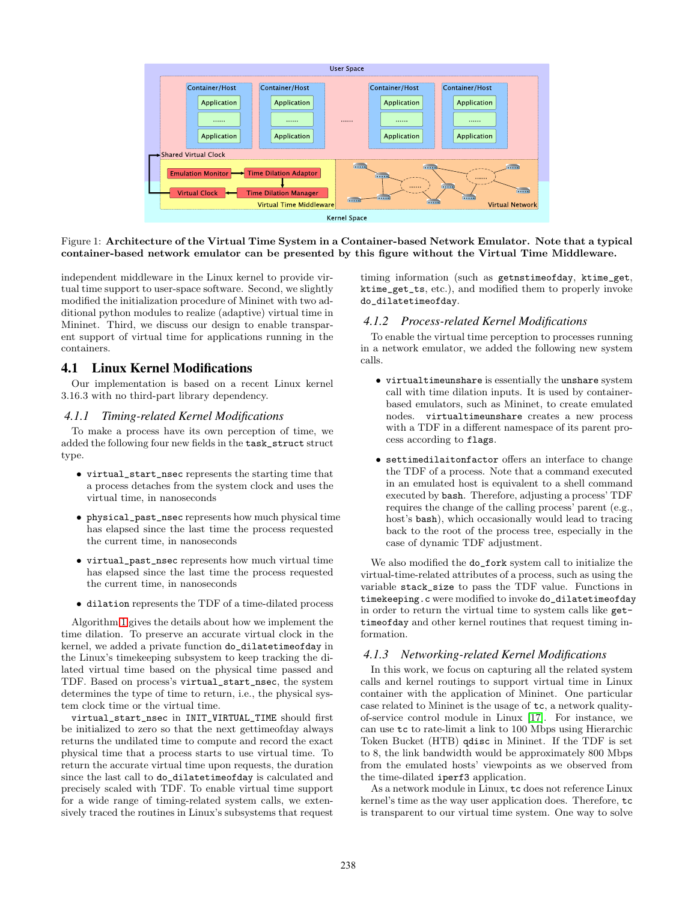<span id="page-3-0"></span>

#### Figure 1: Architecture of the Virtual Time System in a Container-based Network Emulator. Note that a typical container-based network emulator can be presented by this figure without the Virtual Time Middleware.

independent middleware in the Linux kernel to provide virtual time support to user-space software. Second, we slightly modified the initialization procedure of Mininet with two additional python modules to realize (adaptive) virtual time in Mininet. Third, we discuss our design to enable transparent support of virtual time for applications running in the containers.

# 4.1 Linux Kernel Modifications

Our implementation is based on a recent Linux kernel 3.16.3 with no third-part library dependency.

#### *4.1.1 Timing-related Kernel Modifications*

To make a process have its own perception of time, we added the following four new fields in the task\_struct struct type.

- virtual\_start\_nsec represents the starting time that a process detaches from the system clock and uses the virtual time, in nanoseconds
- physical\_past\_nsec represents how much physical time has elapsed since the last time the process requested the current time, in nanoseconds
- virtual\_past\_nsec represents how much virtual time has elapsed since the last time the process requested the current time, in nanoseconds
- dilation represents the TDF of a time-dilated process

Algorithm [1](#page-4-0) gives the details about how we implement the time dilation. To preserve an accurate virtual clock in the kernel, we added a private function do\_dilatetimeofday in the Linux's timekeeping subsystem to keep tracking the dilated virtual time based on the physical time passed and TDF. Based on process's virtual\_start\_nsec, the system determines the type of time to return, i.e., the physical system clock time or the virtual time.

virtual\_start\_nsec in INIT\_VIRTUAL\_TIME should first be initialized to zero so that the next gettimeofday always returns the undilated time to compute and record the exact physical time that a process starts to use virtual time. To return the accurate virtual time upon requests, the duration since the last call to do\_dilatetimeofday is calculated and precisely scaled with TDF. To enable virtual time support for a wide range of timing-related system calls, we extensively traced the routines in Linux's subsystems that request

timing information (such as getnstimeofday, ktime\_get, ktime\_get\_ts, etc.), and modified them to properly invoke do\_dilatetimeofday.

#### *4.1.2 Process-related Kernel Modifications*

To enable the virtual time perception to processes running in a network emulator, we added the following new system calls.

- virtualtimeunshare is essentially the unshare system call with time dilation inputs. It is used by containerbased emulators, such as Mininet, to create emulated nodes. virtualtimeunshare creates a new process with a TDF in a different namespace of its parent process according to flags.
- settimedilaitonfactor offers an interface to change the TDF of a process. Note that a command executed in an emulated host is equivalent to a shell command executed by bash. Therefore, adjusting a process' TDF requires the change of the calling process' parent (e.g., host's bash), which occasionally would lead to tracing back to the root of the process tree, especially in the case of dynamic TDF adjustment.

We also modified the do\_fork system call to initialize the virtual-time-related attributes of a process, such as using the variable stack\_size to pass the TDF value. Functions in timekeeping.c were modified to invoke do\_dilatetimeofday in order to return the virtual time to system calls like gettimeofday and other kernel routines that request timing information.

#### *4.1.3 Networking-related Kernel Modifications*

In this work, we focus on capturing all the related system calls and kernel routings to support virtual time in Linux container with the application of Mininet. One particular case related to Mininet is the usage of tc, a network qualityof-service control module in Linux [\[17\]](#page-10-19). For instance, we can use tc to rate-limit a link to 100 Mbps using Hierarchic Token Bucket (HTB) qdisc in Mininet. If the TDF is set to 8, the link bandwidth would be approximately 800 Mbps from the emulated hosts' viewpoints as we observed from the time-dilated iperf3 application.

As a network module in Linux, tc does not reference Linux kernel's time as the way user application does. Therefore, tc is transparent to our virtual time system. One way to solve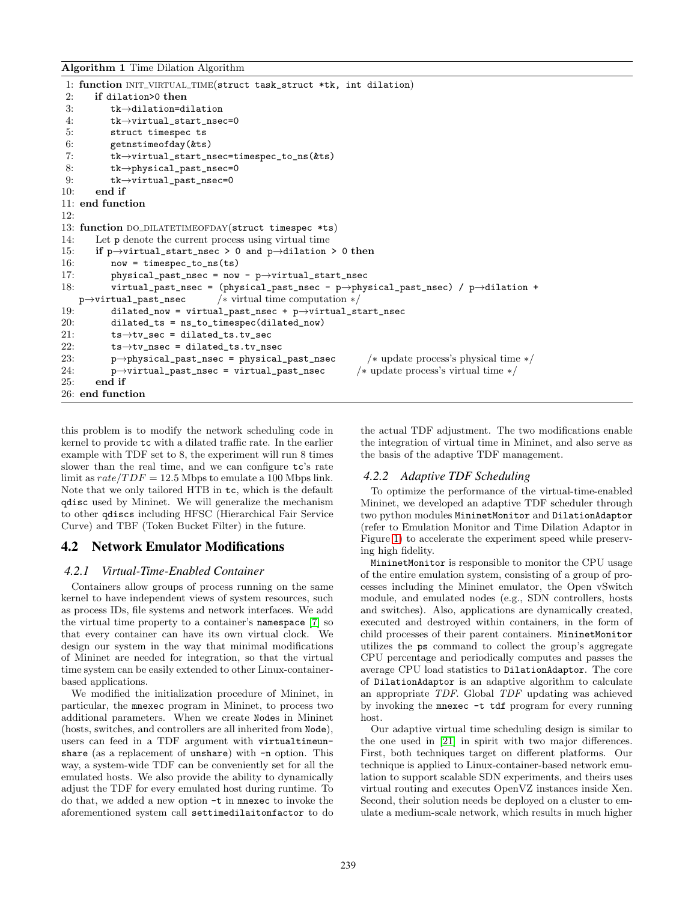```
Algorithm 1 Time Dilation Algorithm
```

```
1: function INIT_VIRTUAL_TIME(struct task_struct *tk, int dilation)
 2: if dilation>0 then
 3: tk→dilation=dilation
 4: tk→virtual_start_nsec=0
 5: struct timespec ts
 6: getnstimeofday(&ts)
 7: tk→virtual_start_nsec=timespec_to_ns(&ts)
 8: tk→physical_past_nsec=0
 9: tk→virtual_past_nsec=0
10: end if
11: end function
12:
13: function DO_DILATETIMEOFDAY(struct timespec *ts)
14: Let p denote the current process using virtual time
15: if p\rightarrowvirtual_start_nsec > 0 and p\rightarrowdilation > 0 then
16: now = timespec_to_ns(ts)
17: physical_past_nsec = now - p→virtual_start_nsec
18: virtual_past_nsec = (physical_past_nsec - p→physical_past_nsec) / p→dilation +
   p→virtual_past_nsec /∗ virtual time computation ∗/
19: dilated_now = virtual_past_nsec + p→virtual_start_nsec
20: dilated_ts = ns_to_timespec(dilated_new)<br>
21: ts \rightarrow tv \text{ sec} = dilated_ts.tv_sects \rightarrow tv\_sec = dilated\_ts.tv\_sec22: ts \rightarrow tv\_nsec = dilated_ts.tv\_nsec<br>
23: p \rightarrow physical past nsec = physical
          23: p→physical_past_nsec = physical_past_nsec /∗ update process's physical time ∗/
24: p→virtual_past_nsec = virtual_past_nsec /∗ update process's virtual time ∗/
25: end if
26: end function
```
this problem is to modify the network scheduling code in kernel to provide tc with a dilated traffic rate. In the earlier example with TDF set to 8, the experiment will run 8 times slower than the real time, and we can configure tc's rate limit as  $rate/TDF = 12.5$  Mbps to emulate a 100 Mbps link. Note that we only tailored HTB in tc, which is the default qdisc used by Mininet. We will generalize the mechanism to other qdiscs including HFSC (Hierarchical Fair Service Curve) and TBF (Token Bucket Filter) in the future.

# 4.2 Network Emulator Modifications

### *4.2.1 Virtual-Time-Enabled Container*

Containers allow groups of process running on the same kernel to have independent views of system resources, such as process IDs, file systems and network interfaces. We add the virtual time property to a container's namespace [\[7\]](#page-10-20) so that every container can have its own virtual clock. We design our system in the way that minimal modifications of Mininet are needed for integration, so that the virtual time system can be easily extended to other Linux-containerbased applications.

We modified the initialization procedure of Mininet, in particular, the mnexec program in Mininet, to process two additional parameters. When we create Nodes in Mininet (hosts, switches, and controllers are all inherited from Node), users can feed in a TDF argument with virtualtimeunshare (as a replacement of unshare) with  $-n$  option. This way, a system-wide TDF can be conveniently set for all the emulated hosts. We also provide the ability to dynamically adjust the TDF for every emulated host during runtime. To do that, we added a new option -t in mnexec to invoke the aforementioned system call settimedilaitonfactor to do the actual TDF adjustment. The two modifications enable the integration of virtual time in Mininet, and also serve as the basis of the adaptive TDF management.

# *4.2.2 Adaptive TDF Scheduling*

To optimize the performance of the virtual-time-enabled Mininet, we developed an adaptive TDF scheduler through two python modules MininetMonitor and DilationAdaptor (refer to Emulation Monitor and Time Dilation Adaptor in Figure [1\)](#page-3-0) to accelerate the experiment speed while preserving high fidelity.

MininetMonitor is responsible to monitor the CPU usage of the entire emulation system, consisting of a group of processes including the Mininet emulator, the Open vSwitch module, and emulated nodes (e.g., SDN controllers, hosts and switches). Also, applications are dynamically created, executed and destroyed within containers, in the form of child processes of their parent containers. MininetMonitor utilizes the ps command to collect the group's aggregate CPU percentage and periodically computes and passes the average CPU load statistics to DilationAdaptor. The core of DilationAdaptor is an adaptive algorithm to calculate an appropriate TDF. Global TDF updating was achieved by invoking the mnexec -t tdf program for every running host.

Our adaptive virtual time scheduling design is similar to the one used in [\[21\]](#page-10-14) in spirit with two major differences. First, both techniques target on different platforms. Our technique is applied to Linux-container-based network emulation to support scalable SDN experiments, and theirs uses virtual routing and executes OpenVZ instances inside Xen. Second, their solution needs be deployed on a cluster to emulate a medium-scale network, which results in much higher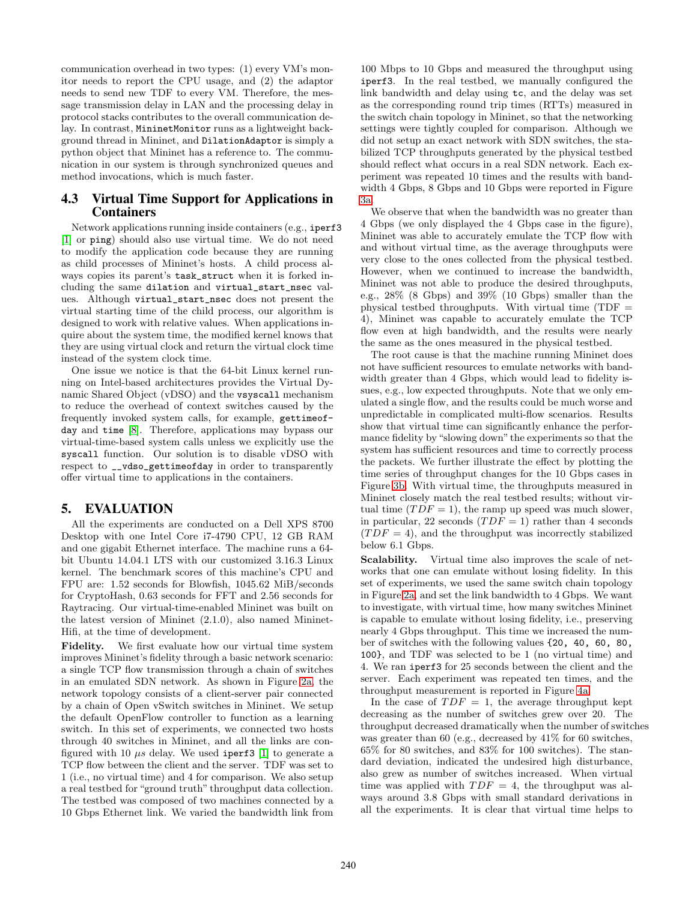communication overhead in two types: (1) every VM's monitor needs to report the CPU usage, and (2) the adaptor needs to send new TDF to every VM. Therefore, the message transmission delay in LAN and the processing delay in protocol stacks contributes to the overall communication delay. In contrast, MininetMonitor runs as a lightweight background thread in Mininet, and DilationAdaptor is simply a python object that Mininet has a reference to. The communication in our system is through synchronized queues and method invocations, which is much faster.

# 4.3 Virtual Time Support for Applications in Containers

Network applications running inside containers (e.g., iperf3 [\[1\]](#page-10-21) or ping) should also use virtual time. We do not need to modify the application code because they are running as child processes of Mininet's hosts. A child process always copies its parent's task\_struct when it is forked including the same dilation and virtual\_start\_nsec values. Although virtual\_start\_nsec does not present the virtual starting time of the child process, our algorithm is designed to work with relative values. When applications inquire about the system time, the modified kernel knows that they are using virtual clock and return the virtual clock time instead of the system clock time.

One issue we notice is that the 64-bit Linux kernel running on Intel-based architectures provides the Virtual Dynamic Shared Object (vDSO) and the vsyscall mechanism to reduce the overhead of context switches caused by the frequently invoked system calls, for example, gettimeofday and time [\[8\]](#page-10-22). Therefore, applications may bypass our virtual-time-based system calls unless we explicitly use the syscall function. Our solution is to disable vDSO with respect to \_\_vdso\_gettimeofday in order to transparently offer virtual time to applications in the containers.

# <span id="page-5-0"></span>5. EVALUATION

All the experiments are conducted on a Dell XPS 8700 Desktop with one Intel Core i7-4790 CPU, 12 GB RAM and one gigabit Ethernet interface. The machine runs a 64 bit Ubuntu 14.04.1 LTS with our customized 3.16.3 Linux kernel. The benchmark scores of this machine's CPU and FPU are: 1.52 seconds for Blowfish, 1045.62 MiB/seconds for CryptoHash, 0.63 seconds for FFT and 2.56 seconds for Raytracing. Our virtual-time-enabled Mininet was built on the latest version of Mininet (2.1.0), also named Mininet-Hifi, at the time of development.

Fidelity. We first evaluate how our virtual time system improves Mininet's fidelity through a basic network scenario: a single TCP flow transmission through a chain of switches in an emulated SDN network. As shown in Figure [2a,](#page-6-0) the network topology consists of a client-server pair connected by a chain of Open vSwitch switches in Mininet. We setup the default OpenFlow controller to function as a learning switch. In this set of experiments, we connected two hosts through 40 switches in Mininet, and all the links are configured with 10  $\mu s$  delay. We used iperf3 [\[1\]](#page-10-21) to generate a TCP flow between the client and the server. TDF was set to 1 (i.e., no virtual time) and 4 for comparison. We also setup a real testbed for "ground truth" throughput data collection. The testbed was composed of two machines connected by a 10 Gbps Ethernet link. We varied the bandwidth link from

100 Mbps to 10 Gbps and measured the throughput using iperf3. In the real testbed, we manually configured the link bandwidth and delay using tc, and the delay was set as the corresponding round trip times (RTTs) measured in the switch chain topology in Mininet, so that the networking settings were tightly coupled for comparison. Although we did not setup an exact network with SDN switches, the stabilized TCP throughputs generated by the physical testbed should reflect what occurs in a real SDN network. Each experiment was repeated 10 times and the results with bandwidth 4 Gbps, 8 Gbps and 10 Gbps were reported in Figure [3a.](#page-7-0)

We observe that when the bandwidth was no greater than 4 Gbps (we only displayed the 4 Gbps case in the figure), Mininet was able to accurately emulate the TCP flow with and without virtual time, as the average throughputs were very close to the ones collected from the physical testbed. However, when we continued to increase the bandwidth, Mininet was not able to produce the desired throughputs, e.g., 28% (8 Gbps) and 39% (10 Gbps) smaller than the physical testbed throughputs. With virtual time (TDF = 4), Mininet was capable to accurately emulate the TCP flow even at high bandwidth, and the results were nearly the same as the ones measured in the physical testbed.

The root cause is that the machine running Mininet does not have sufficient resources to emulate networks with bandwidth greater than 4 Gbps, which would lead to fidelity issues, e.g., low expected throughputs. Note that we only emulated a single flow, and the results could be much worse and unpredictable in complicated multi-flow scenarios. Results show that virtual time can significantly enhance the performance fidelity by "slowing down" the experiments so that the system has sufficient resources and time to correctly process the packets. We further illustrate the effect by plotting the time series of throughput changes for the 10 Gbps cases in Figure [3b.](#page-7-1) With virtual time, the throughputs measured in Mininet closely match the real testbed results; without virtual time  $(TDF = 1)$ , the ramp up speed was much slower, in particular, 22 seconds  $(TDF = 1)$  rather than 4 seconds  $(TDF = 4)$ , and the throughput was incorrectly stabilized below 6.1 Gbps.

Scalability. Virtual time also improves the scale of networks that one can emulate without losing fidelity. In this set of experiments, we used the same switch chain topology in Figure [2a,](#page-6-0) and set the link bandwidth to 4 Gbps. We want to investigate, with virtual time, how many switches Mininet is capable to emulate without losing fidelity, i.e., preserving nearly 4 Gbps throughput. This time we increased the number of switches with the following values {20, 40, 60, 80, 100}, and TDF was selected to be 1 (no virtual time) and 4. We ran iperf3 for 25 seconds between the client and the server. Each experiment was repeated ten times, and the throughput measurement is reported in Figure [4a.](#page-7-2)

In the case of  $TDF = 1$ , the average throughput kept decreasing as the number of switches grew over 20. The throughput decreased dramatically when the number of switches was greater than 60 (e.g., decreased by 41% for 60 switches, 65% for 80 switches, and 83% for 100 switches). The standard deviation, indicated the undesired high disturbance, also grew as number of switches increased. When virtual time was applied with  $TDF = 4$ , the throughput was always around 3.8 Gbps with small standard derivations in all the experiments. It is clear that virtual time helps to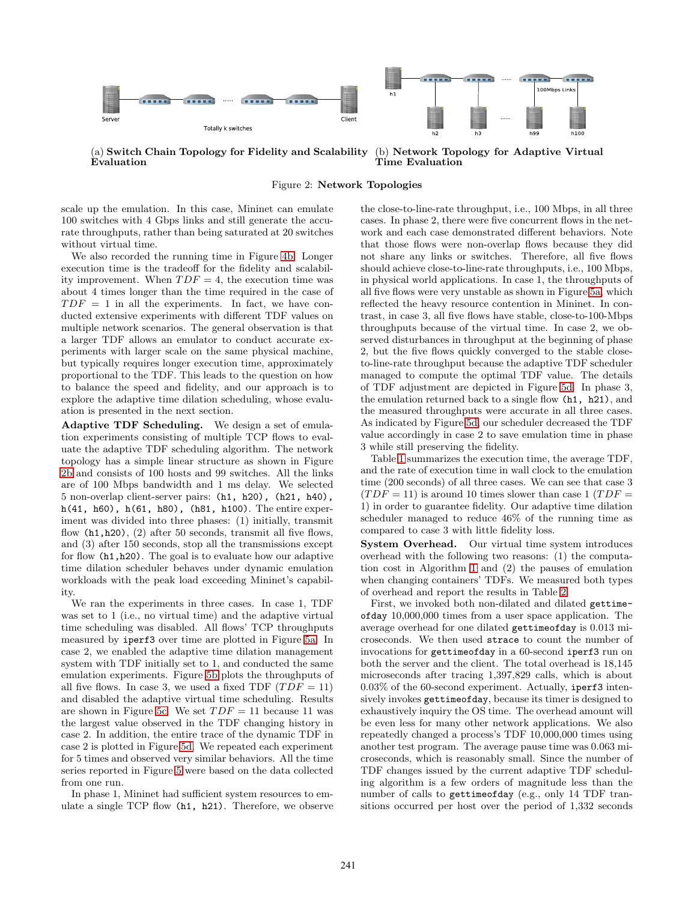<span id="page-6-0"></span>

(a) Switch Chain Topology for Fidelity and Scalability Evaluation (b) Network Topology for Adaptive Virtual Time Evaluation

Figure 2: Network Topologies

scale up the emulation. In this case, Mininet can emulate 100 switches with 4 Gbps links and still generate the accurate throughputs, rather than being saturated at 20 switches without virtual time.

We also recorded the running time in Figure [4b.](#page-7-3) Longer execution time is the tradeoff for the fidelity and scalability improvement. When  $TDF = 4$ , the execution time was about 4 times longer than the time required in the case of  $TDF = 1$  in all the experiments. In fact, we have conducted extensive experiments with different TDF values on multiple network scenarios. The general observation is that a larger TDF allows an emulator to conduct accurate experiments with larger scale on the same physical machine, but typically requires longer execution time, approximately proportional to the TDF. This leads to the question on how to balance the speed and fidelity, and our approach is to explore the adaptive time dilation scheduling, whose evaluation is presented in the next section.

Adaptive TDF Scheduling. We design a set of emulation experiments consisting of multiple TCP flows to evaluate the adaptive TDF scheduling algorithm. The network topology has a simple linear structure as shown in Figure [2b](#page-6-1) and consists of 100 hosts and 99 switches. All the links are of 100 Mbps bandwidth and 1 ms delay. We selected 5 non-overlap client-server pairs: (h1, h20), (h21, h40), h(41, h60), h(61, h80), (h81, h100). The entire experiment was divided into three phases: (1) initially, transmit flow (h1,h20), (2) after 50 seconds, transmit all five flows, and (3) after 150 seconds, stop all the transmissions except for flow (h1,h20). The goal is to evaluate how our adaptive time dilation scheduler behaves under dynamic emulation workloads with the peak load exceeding Mininet's capability.

We ran the experiments in three cases. In case 1, TDF was set to 1 (i.e., no virtual time) and the adaptive virtual time scheduling was disabled. All flows' TCP throughputs measured by iperf3 over time are plotted in Figure [5a.](#page-7-4) In case 2, we enabled the adaptive time dilation management system with TDF initially set to 1, and conducted the same emulation experiments. Figure [5b](#page-7-5) plots the throughputs of all five flows. In case 3, we used a fixed TDF  $(TDF = 11)$ and disabled the adaptive virtual time scheduling. Results are shown in Figure [5c.](#page-7-6) We set  $TDF = 11$  because 11 was the largest value observed in the TDF changing history in case 2. In addition, the entire trace of the dynamic TDF in case 2 is plotted in Figure [5d.](#page-7-7) We repeated each experiment for 5 times and observed very similar behaviors. All the time series reported in Figure [5](#page-7-8) were based on the data collected from one run.

In phase 1, Mininet had sufficient system resources to emulate a single TCP flow (h1, h21). Therefore, we observe <span id="page-6-1"></span>the close-to-line-rate throughput, i.e., 100 Mbps, in all three cases. In phase 2, there were five concurrent flows in the network and each case demonstrated different behaviors. Note that those flows were non-overlap flows because they did not share any links or switches. Therefore, all five flows should achieve close-to-line-rate throughputs, i.e., 100 Mbps, in physical world applications. In case 1, the throughputs of all five flows were very unstable as shown in Figure [5a,](#page-7-4) which reflected the heavy resource contention in Mininet. In contrast, in case 3, all five flows have stable, close-to-100-Mbps throughputs because of the virtual time. In case 2, we observed disturbances in throughput at the beginning of phase 2, but the five flows quickly converged to the stable closeto-line-rate throughput because the adaptive TDF scheduler managed to compute the optimal TDF value. The details of TDF adjustment are depicted in Figure [5d.](#page-7-7) In phase 3, the emulation returned back to a single flow (h1, h21), and the measured throughputs were accurate in all three cases. As indicated by Figure [5d,](#page-7-7) our scheduler decreased the TDF value accordingly in case 2 to save emulation time in phase 3 while still preserving the fidelity.

Table [1](#page-9-0) summarizes the execution time, the average TDF, and the rate of execution time in wall clock to the emulation time (200 seconds) of all three cases. We can see that case 3  $(TDF = 11)$  is around 10 times slower than case 1  $(TDF = 11)$ 1) in order to guarantee fidelity. Our adaptive time dilation scheduler managed to reduce 46% of the running time as compared to case 3 with little fidelity loss.

System Overhead. Our virtual time system introduces overhead with the following two reasons: (1) the computation cost in Algorithm [1](#page-4-0) and (2) the pauses of emulation when changing containers' TDFs. We measured both types of overhead and report the results in Table [2.](#page-9-1)

First, we invoked both non-dilated and dilated gettimeofday 10,000,000 times from a user space application. The average overhead for one dilated gettimeofday is 0.013 microseconds. We then used strace to count the number of invocations for gettimeofday in a 60-second iperf3 run on both the server and the client. The total overhead is 18,145 microseconds after tracing 1,397,829 calls, which is about 0.03% of the 60-second experiment. Actually, iperf3 intensively invokes gettimeofday, because its timer is designed to exhaustively inquiry the OS time. The overhead amount will be even less for many other network applications. We also repeatedly changed a process's TDF 10,000,000 times using another test program. The average pause time was 0.063 microseconds, which is reasonably small. Since the number of TDF changes issued by the current adaptive TDF scheduling algorithm is a few orders of magnitude less than the number of calls to gettimeofday (e.g., only 14 TDF transitions occurred per host over the period of 1,332 seconds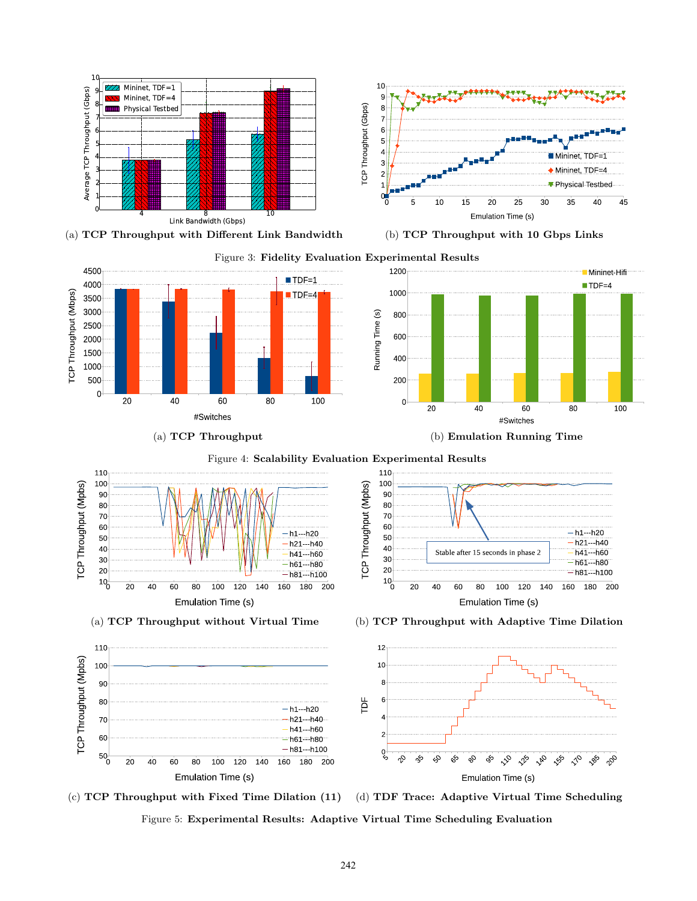<span id="page-7-0"></span>

<span id="page-7-2"></span>

(a) TCP Throughput (b) Emulation Running Time

<span id="page-7-5"></span><span id="page-7-3"></span><span id="page-7-1"></span>

<span id="page-7-8"></span><span id="page-7-6"></span><span id="page-7-4"></span>



<span id="page-7-7"></span>Figure 5: Experimental Results: Adaptive Virtual Time Scheduling Evaluation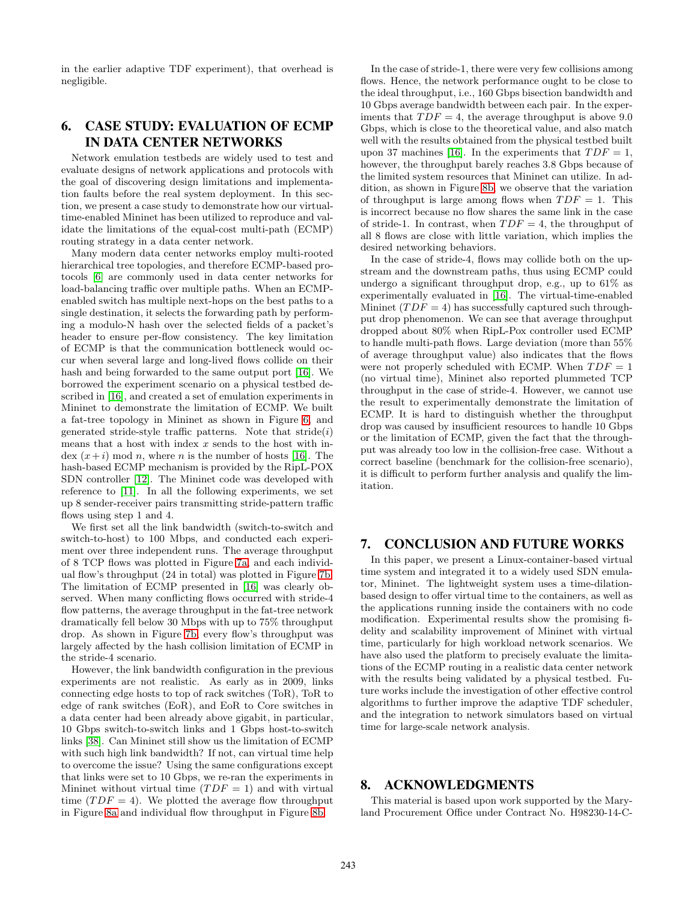in the earlier adaptive TDF experiment), that overhead is negligible.

# <span id="page-8-0"></span>6. CASE STUDY: EVALUATION OF ECMP IN DATA CENTER NETWORKS

Network emulation testbeds are widely used to test and evaluate designs of network applications and protocols with the goal of discovering design limitations and implementation faults before the real system deployment. In this section, we present a case study to demonstrate how our virtualtime-enabled Mininet has been utilized to reproduce and validate the limitations of the equal-cost multi-path (ECMP) routing strategy in a data center network.

Many modern data center networks employ multi-rooted hierarchical tree topologies, and therefore ECMP-based protocols [\[6\]](#page-10-23) are commonly used in data center networks for load-balancing traffic over multiple paths. When an ECMPenabled switch has multiple next-hops on the best paths to a single destination, it selects the forwarding path by performing a modulo-N hash over the selected fields of a packet's header to ensure per-flow consistency. The key limitation of ECMP is that the communication bottleneck would occur when several large and long-lived flows collide on their hash and being forwarded to the same output port [\[16\]](#page-10-24). We borrowed the experiment scenario on a physical testbed described in [\[16\]](#page-10-24), and created a set of emulation experiments in Mininet to demonstrate the limitation of ECMP. We built a fat-tree topology in Mininet as shown in Figure [6,](#page-9-2) and generated stride-style traffic patterns. Note that  $\text{stride}(i)$ means that a host with index  $x$  sends to the host with index  $(x+i)$  mod n, where n is the number of hosts [\[16\]](#page-10-24). The hash-based ECMP mechanism is provided by the RipL-POX SDN controller [\[12\]](#page-10-25). The Mininet code was developed with reference to [\[11\]](#page-10-26). In all the following experiments, we set up 8 sender-receiver pairs transmitting stride-pattern traffic flows using step 1 and 4.

We first set all the link bandwidth (switch-to-switch and switch-to-host) to 100 Mbps, and conducted each experiment over three independent runs. The average throughput of 8 TCP flows was plotted in Figure [7a,](#page-9-3) and each individual flow's throughput (24 in total) was plotted in Figure [7b.](#page-9-4) The limitation of ECMP presented in [\[16\]](#page-10-24) was clearly observed. When many conflicting flows occurred with stride-4 flow patterns, the average throughput in the fat-tree network dramatically fell below 30 Mbps with up to 75% throughput drop. As shown in Figure [7b,](#page-9-4) every flow's throughput was largely affected by the hash collision limitation of ECMP in the stride-4 scenario.

However, the link bandwidth configuration in the previous experiments are not realistic. As early as in 2009, links connecting edge hosts to top of rack switches (ToR), ToR to edge of rank switches (EoR), and EoR to Core switches in a data center had been already above gigabit, in particular, 10 Gbps switch-to-switch links and 1 Gbps host-to-switch links [\[38\]](#page-11-13). Can Mininet still show us the limitation of ECMP with such high link bandwidth? If not, can virtual time help to overcome the issue? Using the same configurations except that links were set to 10 Gbps, we re-ran the experiments in Mininet without virtual time  $(TDF = 1)$  and with virtual time  $(TDF = 4)$ . We plotted the average flow throughput in Figure [8a](#page-9-5) and individual flow throughput in Figure [8b.](#page-9-6)

In the case of stride-1, there were very few collisions among flows. Hence, the network performance ought to be close to the ideal throughput, i.e., 160 Gbps bisection bandwidth and 10 Gbps average bandwidth between each pair. In the experiments that  $TDF = 4$ , the average throughput is above 9.0 Gbps, which is close to the theoretical value, and also match well with the results obtained from the physical testbed built upon 37 machines [\[16\]](#page-10-24). In the experiments that  $TDF = 1$ , however, the throughput barely reaches 3.8 Gbps because of the limited system resources that Mininet can utilize. In addition, as shown in Figure [8b,](#page-9-6) we observe that the variation of throughput is large among flows when  $TDF = 1$ . This is incorrect because no flow shares the same link in the case of stride-1. In contrast, when  $TDF = 4$ , the throughput of all 8 flows are close with little variation, which implies the desired networking behaviors.

In the case of stride-4, flows may collide both on the upstream and the downstream paths, thus using ECMP could undergo a significant throughput drop, e.g., up to 61% as experimentally evaluated in [\[16\]](#page-10-24). The virtual-time-enabled Mininet  $(TDF = 4)$  has successfully captured such throughput drop phenomenon. We can see that average throughput dropped about 80% when RipL-Pox controller used ECMP to handle multi-path flows. Large deviation (more than 55% of average throughput value) also indicates that the flows were not properly scheduled with ECMP. When  $TDF = 1$ (no virtual time), Mininet also reported plummeted TCP throughput in the case of stride-4. However, we cannot use the result to experimentally demonstrate the limitation of ECMP. It is hard to distinguish whether the throughput drop was caused by insufficient resources to handle 10 Gbps or the limitation of ECMP, given the fact that the throughput was already too low in the collision-free case. Without a correct baseline (benchmark for the collision-free scenario), it is difficult to perform further analysis and qualify the limitation.

# <span id="page-8-1"></span>7. CONCLUSION AND FUTURE WORKS

In this paper, we present a Linux-container-based virtual time system and integrated it to a widely used SDN emulator, Mininet. The lightweight system uses a time-dilationbased design to offer virtual time to the containers, as well as the applications running inside the containers with no code modification. Experimental results show the promising fidelity and scalability improvement of Mininet with virtual time, particularly for high workload network scenarios. We have also used the platform to precisely evaluate the limitations of the ECMP routing in a realistic data center network with the results being validated by a physical testbed. Future works include the investigation of other effective control algorithms to further improve the adaptive TDF scheduler, and the integration to network simulators based on virtual time for large-scale network analysis.

### 8. ACKNOWLEDGMENTS

This material is based upon work supported by the Maryland Procurement Office under Contract No. H98230-14-C-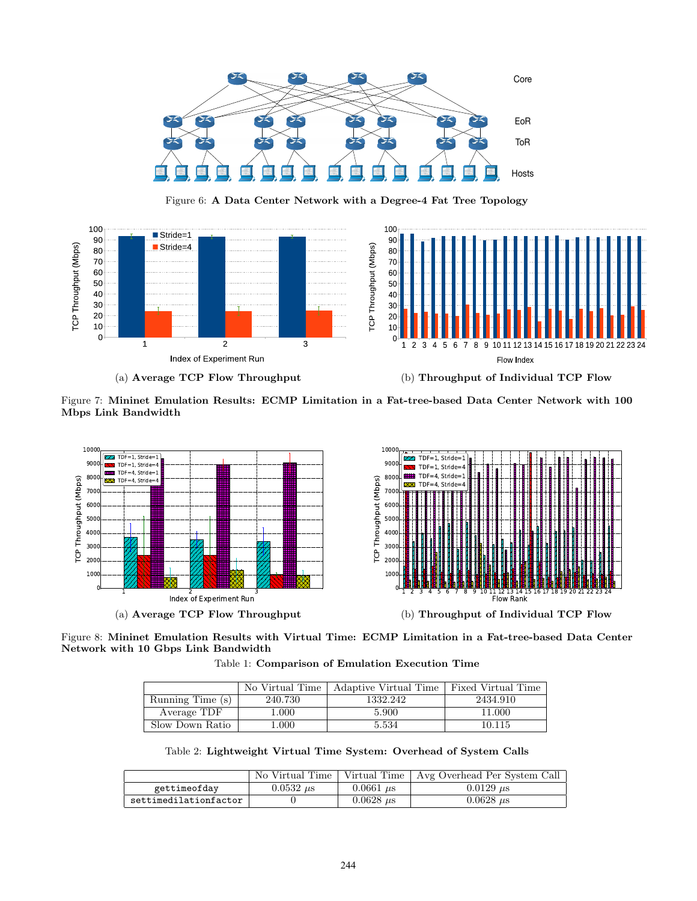<span id="page-9-2"></span>

Figure 6: A Data Center Network with a Degree-4 Fat Tree Topology

<span id="page-9-3"></span>

<span id="page-9-4"></span>(a) Average TCP Flow Throughput (b) Throughput of Individual TCP Flow

Figure 7: Mininet Emulation Results: ECMP Limitation in a Fat-tree-based Data Center Network with 100 Mbps Link Bandwidth

<span id="page-9-5"></span>

<span id="page-9-0"></span>Figure 8: Mininet Emulation Results with Virtual Time: ECMP Limitation in a Fat-tree-based Data Center Network with 10 Gbps Link Bandwidth

<span id="page-9-6"></span>Table 1: Comparison of Emulation Execution Time

|                  | No Virtual Time | Adaptive Virtual Time   Fixed Virtual Time |          |
|------------------|-----------------|--------------------------------------------|----------|
| Running Time (s) | 240.730         | 1332.242                                   | 2434.910 |
| Average TDF      | 1.000           | 5.900                                      | 11.000   |
| Slow Down Ratio  | .000.           | 5.534                                      | 10.115   |

Table 2: Lightweight Virtual Time System: Overhead of System Calls

<span id="page-9-1"></span>

|                       | . No Virtual Time |                            | Virtual Time   Avg Overhead Per System Call |
|-----------------------|-------------------|----------------------------|---------------------------------------------|
| gettimeofday          | $0.0532 \ \mu s$  | $0.0661 \,\mu s$           | $0.0129 \ \mu s$                            |
| settimedilationfactor |                   | $0.0628 \; \mu \mathrm{s}$ | $0.0628 \ \mu s$                            |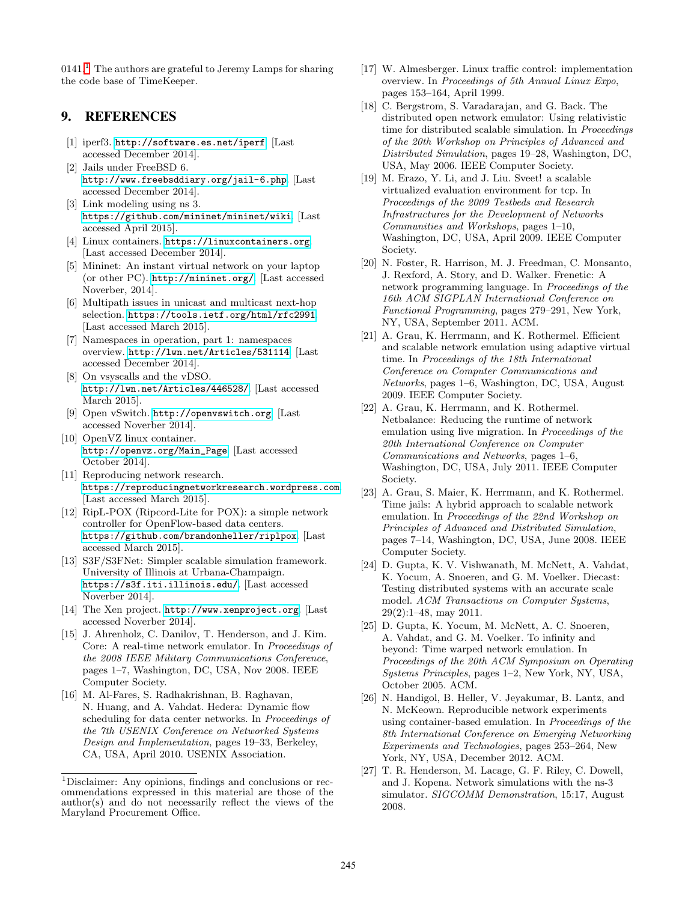$0141<sup>1</sup>$  $0141<sup>1</sup>$  $0141<sup>1</sup>$ . The authors are grateful to Jeremy Lamps for sharing the code base of TimeKeeper.

### <span id="page-10-21"></span>9. REFERENCES

- [1] iperf3. <http://software.es.net/iperf>. [Last accessed December 2014].
- <span id="page-10-8"></span>[2] Jails under FreeBSD 6. <http://www.freebsddiary.org/jail-6.php>. [Last accessed December 2014].
- <span id="page-10-15"></span>[3] Link modeling using ns 3. <https://github.com/mininet/mininet/wiki>. [Last accessed April 2015].
- <span id="page-10-7"></span>[4] Linux containers. <https://linuxcontainers.org>. [Last accessed December 2014].
- <span id="page-10-17"></span>[5] Mininet: An instant virtual network on your laptop (or other PC). <http://mininet.org/>. [Last accessed Noverber, 2014].
- <span id="page-10-23"></span>[6] Multipath issues in unicast and multicast next-hop selection. <https://tools.ietf.org/html/rfc2991>. [Last accessed March 2015].
- <span id="page-10-20"></span>[7] Namespaces in operation, part 1: namespaces overview. <http://lwn.net/Articles/531114>. [Last accessed December 2014].
- <span id="page-10-22"></span>[8] On vsyscalls and the vDSO. <http://lwn.net/Articles/446528/>. [Last accessed March 2015].
- <span id="page-10-18"></span>[9] Open vSwitch. <http://openvswitch.org>. [Last accessed Noverber 2014].
- <span id="page-10-6"></span>[10] OpenVZ linux container. [http://openvz.org/Main\\_Page](http://openvz.org/Main_Page). [Last accessed October 2014].
- <span id="page-10-26"></span>[11] Reproducing network research. <https://reproducingnetworkresearch.wordpress.com>. [Last accessed March 2015].
- <span id="page-10-25"></span>[12] RipL-POX (Ripcord-Lite for POX): a simple network controller for OpenFlow-based data centers. <https://github.com/brandonheller/riplpox>. [Last accessed March 2015].
- <span id="page-10-16"></span>[13] S3F/S3FNet: Simpler scalable simulation framework. University of Illinois at Urbana-Champaign. <https://s3f.iti.illinois.edu/>. [Last accessed Noverber 2014].
- <span id="page-10-3"></span>[14] The Xen project. <http://www.xenproject.org>. [Last accessed Noverber 2014].
- <span id="page-10-5"></span>[15] J. Ahrenholz, C. Danilov, T. Henderson, and J. Kim. Core: A real-time network emulator. In Proceedings of the 2008 IEEE Military Communications Conference, pages 1–7, Washington, DC, USA, Nov 2008. IEEE Computer Society.
- <span id="page-10-24"></span>[16] M. Al-Fares, S. Radhakrishnan, B. Raghavan, N. Huang, and A. Vahdat. Hedera: Dynamic flow scheduling for data center networks. In Proceedings of the 7th USENIX Conference on Networked Systems Design and Implementation, pages 19–33, Berkeley, CA, USA, April 2010. USENIX Association.
- <span id="page-10-19"></span>[17] W. Almesberger. Linux traffic control: implementation overview. In Proceedings of 5th Annual Linux Expo, pages 153–164, April 1999.
- <span id="page-10-2"></span>[18] C. Bergstrom, S. Varadarajan, and G. Back. The distributed open network emulator: Using relativistic time for distributed scalable simulation. In Proceedings of the 20th Workshop on Principles of Advanced and Distributed Simulation, pages 19–28, Washington, DC, USA, May 2006. IEEE Computer Society.
- <span id="page-10-11"></span>[19] M. Erazo, Y. Li, and J. Liu. Sveet! a scalable virtualized evaluation environment for tcp. In Proceedings of the 2009 Testbeds and Research Infrastructures for the Development of Networks Communities and Workshops, pages 1–10, Washington, DC, USA, April 2009. IEEE Computer Society.
- <span id="page-10-9"></span>[20] N. Foster, R. Harrison, M. J. Freedman, C. Monsanto, J. Rexford, A. Story, and D. Walker. Frenetic: A network programming language. In Proceedings of the 16th ACM SIGPLAN International Conference on Functional Programming, pages 279–291, New York, NY, USA, September 2011. ACM.
- <span id="page-10-14"></span>[21] A. Grau, K. Herrmann, and K. Rothermel. Efficient and scalable network emulation using adaptive virtual time. In Proceedings of the 18th International Conference on Computer Communications and Networks, pages 1–6, Washington, DC, USA, August 2009. IEEE Computer Society.
- <span id="page-10-12"></span>[22] A. Grau, K. Herrmann, and K. Rothermel. Netbalance: Reducing the runtime of network emulation using live migration. In Proceedings of the 20th International Conference on Computer Communications and Networks, pages 1–6, Washington, DC, USA, July 2011. IEEE Computer Society.
- <span id="page-10-1"></span>[23] A. Grau, S. Maier, K. Herrmann, and K. Rothermel. Time jails: A hybrid approach to scalable network emulation. In Proceedings of the 22nd Workshop on Principles of Advanced and Distributed Simulation, pages 7–14, Washington, DC, USA, June 2008. IEEE Computer Society.
- <span id="page-10-0"></span>[24] D. Gupta, K. V. Vishwanath, M. McNett, A. Vahdat, K. Yocum, A. Snoeren, and G. M. Voelker. Diecast: Testing distributed systems with an accurate scale model. ACM Transactions on Computer Systems, 29(2):1–48, may 2011.
- <span id="page-10-10"></span>[25] D. Gupta, K. Yocum, M. McNett, A. C. Snoeren, A. Vahdat, and G. M. Voelker. To infinity and beyond: Time warped network emulation. In Proceedings of the 20th ACM Symposium on Operating Systems Principles, pages 1–2, New York, NY, USA, October 2005. ACM.
- <span id="page-10-4"></span>[26] N. Handigol, B. Heller, V. Jeyakumar, B. Lantz, and N. McKeown. Reproducible network experiments using container-based emulation. In Proceedings of the 8th International Conference on Emerging Networking Experiments and Technologies, pages 253–264, New York, NY, USA, December 2012. ACM.
- <span id="page-10-13"></span>[27] T. R. Henderson, M. Lacage, G. F. Riley, C. Dowell, and J. Kopena. Network simulations with the ns-3 simulator. SIGCOMM Demonstration, 15:17, August 2008.

<span id="page-10-27"></span><sup>1</sup>Disclaimer: Any opinions, findings and conclusions or recommendations expressed in this material are those of the author(s) and do not necessarily reflect the views of the Maryland Procurement Office.